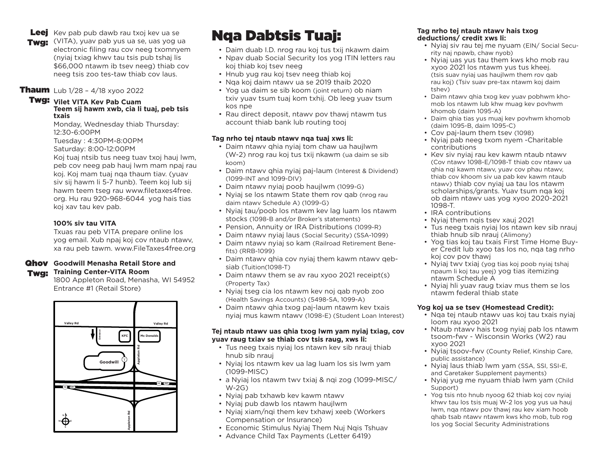Leej Kev pab pub dawb rau txoj kev ua se

Twg: (VITA), yuav pab yus ua se, uas yog ua electronic filing rau cov neeg txomnyem (nyiaj txiag khwv tau tsis pub tshaj lis \$66,000 ntawm ib tsev neeg) thiab cov neeg tsis zoo tes-taw thiab cov laus.

#### **Thaum** Lub 1/28 - 4/18 xyoo 2022

#### Twg: **Vilet VITA Kev Pab Cuam Teem sij hawm xwb, cia li tuaj, peb tsis txais**

Monday, Wednesday thiab Thursday: 12:30-6:00PM

Tuesday : 4:30PM-8:00PM

Saturday: 8:00-12:00PM

Koj tuaj ntsib tus neeg tuav txoj hauj lwm, peb cov neeg pab hauj lwm mam npaj rau koj. Koj mam tuaj nqa thaum tiav. (yuav siv sij hawm li 5-7 hunb). Teem koj lub sij hawm teem tseg rau www.filetaxes4free. org. Hu rau 920-968-6044 yog hais tias koj xav tau kev pab.

#### **100% siv tau VITA**

Txuas rau peb VITA prepare online los yog email. Xub npaj koj cov ntaub ntawv, xa rau peb tawm. www.FileTaxes4free.org

#### Qhov **Goodwill Menasha Retail Store and**  Twa: **Training Center-VITA Room**

1800 Appleton Road, Menasha, WI 54952 Entrance #1 (Retail Store)



# **Nqa Dabtsis Tuaj:** The Tag nrho tej ntaub ntawy hais txog deductions/ credit xws li:

- Daim duab I.D. nrog rau koj tus txij nkawm daim
- Npav duab Social Security los yog ITIN letters rau koj thiab koj tsev neeg
- Hnub yug rau koj tsev neeg thiab koj
- Nqa koj daim ntawv ua se 2019 thaib 2020
- Yog ua daim se sib koom (joint return) ob niam txiv yuav tsum tuaj kom txhij. Ob leeg yuav tsum kos npe
- Rau direct deposit, ntawv pov thawj ntawm tus account thiab bank lub routing tooj

#### **Tag nrho tej ntaub ntawv nqa tuaj xws li:**

- Daim ntawv qhia nyiaj tom chaw ua haujlwm (W-2) nrog rau koj tus txij nkawm (ua daim se sib koom)
- Daim ntawv qhia nyiaj paj-laum (Interest & Dividend) (1099-INT and 1099-DIV)
- Daim ntawv nyiaj poob haujlwm (1099-G)
- Nyiaj se los ntawm State them rov qab (nrog rau daim ntawv Schedule A) (1099-G)
- Nyiaj tau/poob los ntawm kev lag luam los ntawm stocks (1098-B and/or Broker's statements)
- Pension, Annuity or IRA Distributions (1099-R)
- Daim ntawv nyiaj laus (Social Security) (SSA-1099)
- Daim ntawv nyiaj so kam (Railroad Retirement Benefits) (RRB-1099)
- Daim ntawv qhia cov nyiaj them kawm ntawv qebsiab (Tuition(1098-T)
- Daim ntawv them se av rau xyoo 2021 receipt(s) (Property Tax)
- Nyiaj tseg cia los ntawm kev noj qab nyob zoo (Health Savings Accounts) (5498-SA, 1099-A)
- Daim ntawv qhia txog paj-laum ntawm kev txais nyiaj mus kawm ntawv (1098-E) (Student Loan Interest)

#### **Tej ntaub ntawv uas qhia txog lwm yam nyiaj txiag, cov yuav raug txiav se thiab cov tsis raug, xws li:**

- Tus neeg txais nyiaj los ntawn kev sib nrauj thiab hnub sib nrauj
- Nyiaj los ntawm kev ua lag luam los sis lwm yam (1099-MISC)
- a Nyiaj los ntawm twv txiaj & nqi zog (1099-MISC/ W-2G)
- Nyiaj pab txhawb kev kawm ntawv
- Nyiaj pub dawb los ntawm haujlwm
- Nyiaj xiam/nqi them kev txhawj xeeb (Workers Compensation or Insurance)
- Economic Stimulus Nyiaj Them Nuj Nqis Tshuav
- Advance Child Tax Payments (Letter 6419)

# **deductions/ credit xws li:**

- Nyiaj siv rau tej me nyuam (EIN/ Social Security naj npawb, chaw nyob)
- Nyiaj uas yus tau them kws kho mob rau xyoo 2021 los ntawm yus tus kheej. (tsis suav nyiaj uas haujlwm them rov qab rau koj) (Tsiv suav pre-tax ntawm koj daim tshev)
- Daim ntawv qhia txog kev yuav pobhwm khomob los ntawm lub khw muag kev povhwm khomob (daim 1095-A)
- Daim qhia tias yus muaj kev povhwm khomob (daim 1095-B, daim 1095-C)
- Cov paj-laum them tsev (1098)
- Nyiaj pab neeg txom nyem -Charitable contributions
- Kev siv nyiaj rau kev kawm ntaub ntawv (Cov ntawv 1098-E/1098-T thiab cov ntawv ua qhia nqi kawm ntawv, yuav cov phau ntawv, thiab cov khoom siv ua pab kev kawm ntaub ntawv) thiab cov nyiaj ua tau los ntawm scholarships/grants. Yuav tsum nqa koj ob daim ntawv uas yog xyoo 2020-2021 1098-T.
- IRA contributions
- Nyiaj them ngis tsey xauj 2021
- Tus neeg txais nyiaj los ntawn kev sib nrauj thiab hnub sib nrauj (Alimony)
- Yog tias koj tau txais First Time Home Buyer Credit lub xyoo tas los no, nqa tag nrho koj cov pov thawj
- Nyiaj twv txiaj (yog tias koj poob nyiaj tshaj npaum li koj tau yeej) yog tias itemizing ntawm Schedule A
- Nyiaj hli yuav raug txiav mus them se los ntawm federal thiab state

#### **Yog koj ua se tsev (Homestead Credit):**

- Nqa tej ntaub ntawv uas koj tau txais nyiaj loom rau xyoo 2021
- Ntaub ntawv hais txog nyiaj pab los ntawm tsoom-fwv - Wisconsin Works (W2) rau xyoo 2021
- Nyiaj tsoov-fwv (County Relief, Kinship Care, public assistance)
- Nyiaj laus thiab lwm yam (SSA, SSI, SSI-E, and Caretaker Supplement payments)
- Nyiaj yug me nyuam thiab lwm yam (Child Support)
- Yog tsis nto hnub nyoog 62 thiab koj cov nyiaj khwv tau los tsis muaj W-2 los yog yus ua hauj lwm, nqa ntawv pov thawj rau kev xiam hoob qhab tsab ntawv ntawm kws kho mob, tub rog los yog Social Security Administrations